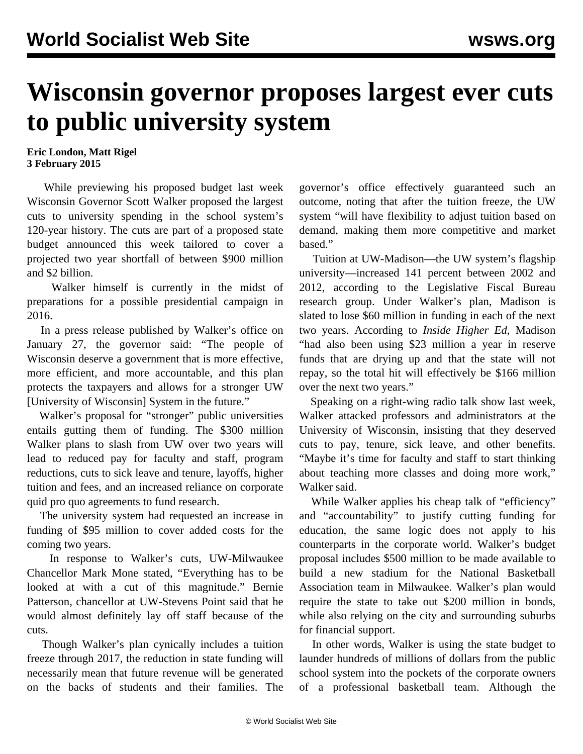## **Wisconsin governor proposes largest ever cuts to public university system**

## **Eric London, Matt Rigel 3 February 2015**

 While previewing his proposed budget last week Wisconsin Governor Scott Walker proposed the largest cuts to university spending in the school system's 120-year history. The cuts are part of a proposed state budget announced this week tailored to cover a projected two year shortfall of between \$900 million and \$2 billion.

 Walker himself is currently in the midst of preparations for a possible presidential campaign in 2016.

 In a press release published by Walker's office on January 27, the governor said: "The people of Wisconsin deserve a government that is more effective, more efficient, and more accountable, and this plan protects the taxpayers and allows for a stronger UW [University of Wisconsin] System in the future."

 Walker's proposal for "stronger" public universities entails gutting them of funding. The \$300 million Walker plans to slash from UW over two years will lead to reduced pay for faculty and staff, program reductions, cuts to sick leave and tenure, layoffs, higher tuition and fees, and an increased reliance on corporate quid pro quo agreements to fund research.

 The university system had requested an increase in funding of \$95 million to cover added costs for the coming two years.

 In response to Walker's cuts, UW-Milwaukee Chancellor Mark Mone stated, "Everything has to be looked at with a cut of this magnitude." Bernie Patterson, chancellor at UW-Stevens Point said that he would almost definitely lay off staff because of the cuts.

 Though Walker's plan cynically includes a tuition freeze through 2017, the reduction in state funding will necessarily mean that future revenue will be generated on the backs of students and their families. The governor's office effectively guaranteed such an outcome, noting that after the tuition freeze, the UW system "will have flexibility to adjust tuition based on demand, making them more competitive and market based."

 Tuition at UW-Madison—the UW system's flagship university—increased 141 percent between 2002 and 2012, according to the Legislative Fiscal Bureau research group. Under Walker's plan, Madison is slated to lose \$60 million in funding in each of the next two years. According to *Inside Higher Ed*, Madison "had also been using \$23 million a year in reserve funds that are drying up and that the state will not repay, so the total hit will effectively be \$166 million over the next two years."

 Speaking on a right-wing radio talk show last week, Walker attacked professors and administrators at the University of Wisconsin, insisting that they deserved cuts to pay, tenure, sick leave, and other benefits. "Maybe it's time for faculty and staff to start thinking about teaching more classes and doing more work," Walker said.

While Walker applies his cheap talk of "efficiency" and "accountability" to justify cutting funding for education, the same logic does not apply to his counterparts in the corporate world. Walker's budget proposal includes \$500 million to be made available to build a new stadium for the National Basketball Association team in Milwaukee. Walker's plan would require the state to take out \$200 million in bonds, while also relying on the city and surrounding suburbs for financial support.

 In other words, Walker is using the state budget to launder hundreds of millions of dollars from the public school system into the pockets of the corporate owners of a professional basketball team. Although the